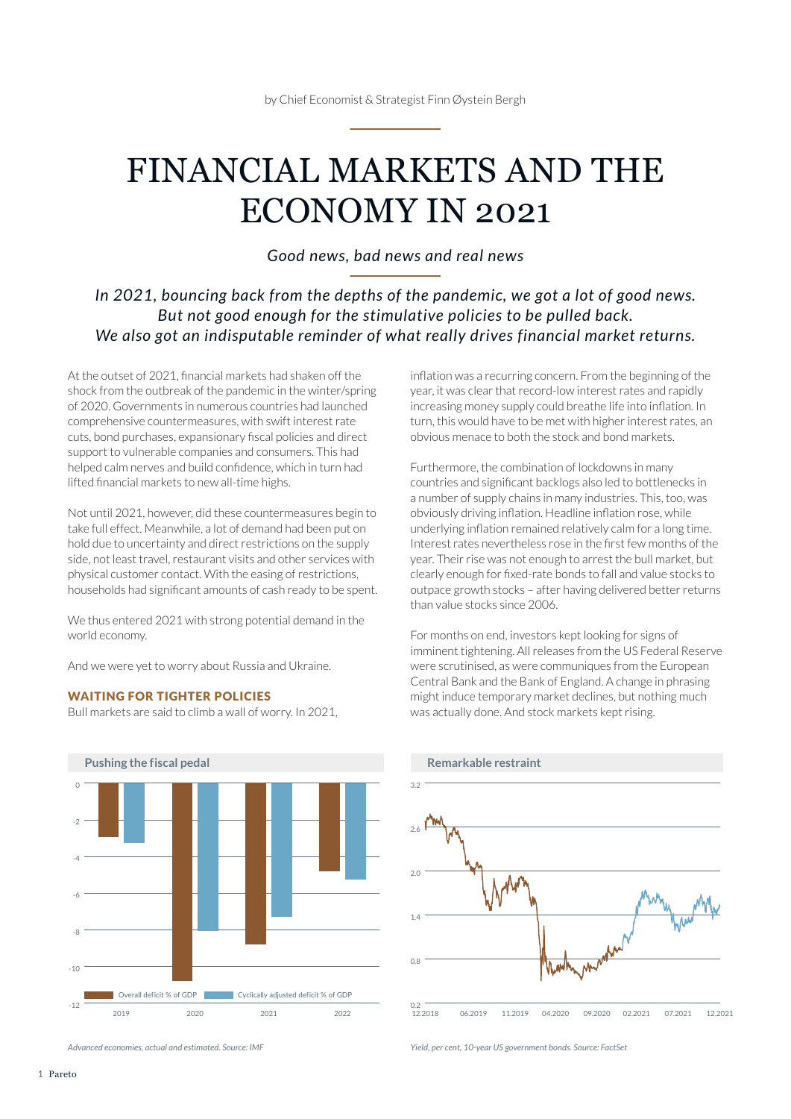# FINANCIAL MARKETS AND THE ECONOMY IN 2021

*Good news, bad news and real news* 

### *In 2021, bouncing back from the depths of the pandemic, we got a lot of good news. But not good enough for the stimulative policies to be pulled back. We also got an indisputable reminder of what really drives financial market returns.*

At the outset of 2021, financial markets had shaken off the shock from the outbreak of the pandemic in the winter/spring of 2020. Governments in numerous countries had launched comprehensive countermeasures, with swift interest rate cuts, bond purchases, expansionary fiscal policies and direct support to vulnerable companies and consumers. This had helped calm nerves and build confidence, which in turn had lifted financial markets to new all-time highs.

Not until 2021, however, did these countermeasures begin to take full effect. Meanwhile, a lot of demand had been put on hold due to uncertainty and direct restrictions on the supply side, not least travel, restaurant visits and other services with physical customer contact. With the easing of restrictions, households had significant amounts of cash ready to be spent.

We thus entered 2021 with strong potential demand in the world economy.

And we were yet to worry about Russia and Ukraine.

#### WAITING FOR TIGHTER POLICIES

Bull markets are said to climb a wall of worry. In 2021,



*Advanced economies, actual and estimated. Source: IMF*

inflation was a recurring concern. From the beginning of the year, it was clear that record-low interest rates and rapidly increasing money supply could breathe life into inflation. In turn, this would have to be met with higher interest rates, an obvious menace to both the stock and bond markets.

Furthermore, the combination of lockdowns in many countries and significant backlogs also led to bottlenecks in a number of supply chains in many industries. This, too, was obviously driving inflation. Headline inflation rose, while underlying inflation remained relatively calm for a long time. Interest rates nevertheless rose in the first few months of the year. Their rise was not enough to arrest the bull market, but clearly enough for fixed-rate bonds to fall and value stocks to outpace growth stocks – after having delivered better returns than value stocks since 2006.

For months on end, investors kept looking for signs of imminent tightening. All releases from the US Federal Reserve were scrutinised, as were communiques from the European Central Bank and the Bank of England. A change in phrasing might induce temporary market declines, but nothing much was actually done. And stock markets kept rising.



*Yield, per cent, 10-year US government bonds. Source: FactSet*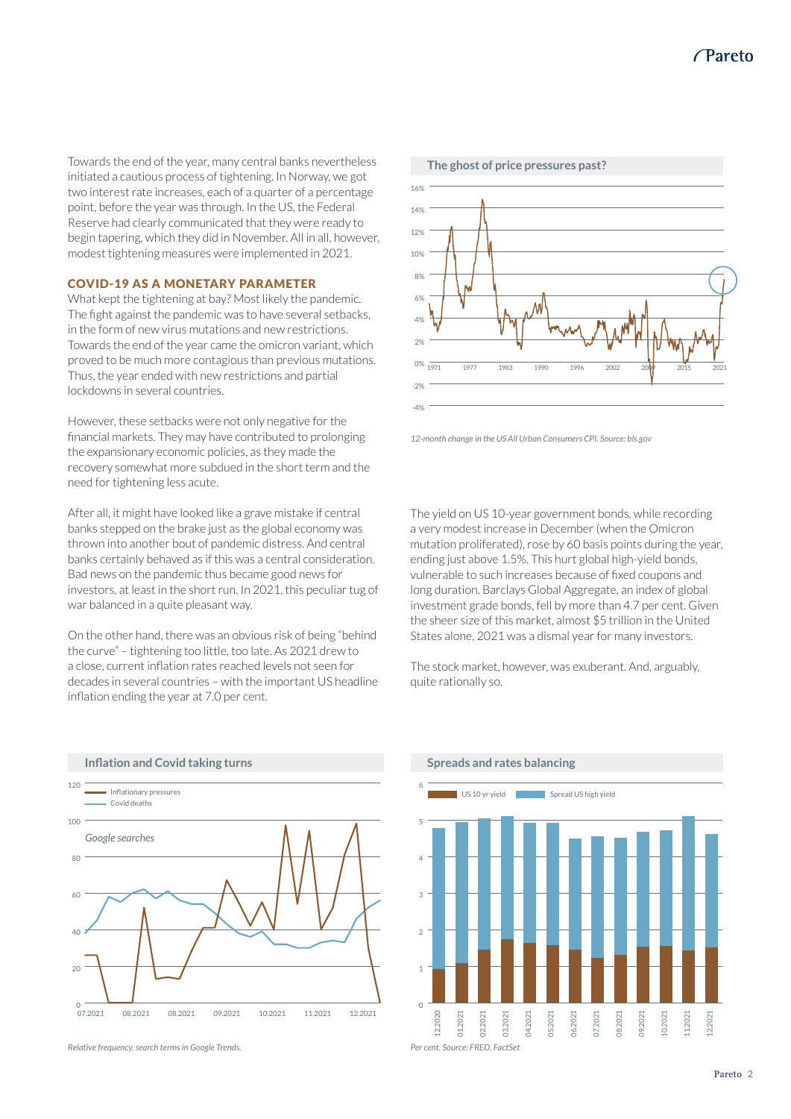Towards the end of the year, many central banks nevertheless initiated a cautious process of tightening. In Norway, we got two interest rate increases, each of a quarter of a percentage point, before the year was through. In the US, the Federal Reserve had clearly communicated that they were ready to begin tapering, which they did in November. All in all, however, modest tightening measures were implemented in 2021.

#### COVID-19 AS A MONETARY PARAMETER

What kept the tightening at bay? Most likely the pandemic. The fight against the pandemic was to have several setbacks, in the form of new virus mutations and new restrictions. Towards the end of the year came the omicron variant, which proved to be much more contagious than previous mutations. Thus, the year ended with new restrictions and partial lockdowns in several countries.

However, these setbacks were not only negative for the financial markets. They may have contributed to prolonging the expansionary economic policies, as they made the recovery somewhat more subdued in the short term and the need for tightening less acute.

After all, it might have looked like a grave mistake if central banks stepped on the brake just as the global economy was thrown into another bout of pandemic distress. And central banks certainly behaved as if this was a central consideration. Bad news on the pandemic thus became good news for investors, at least in the short run. In 2021, this peculiar tug of war balanced in a quite pleasant way.

On the other hand, there was an obvious risk of being "behind the curve" – tightening too little, too late. As 2021 drew to a close, current inflation rates reached levels not seen for decades in several countries – with the important US headline inflation ending the year at 7.0 per cent.



*Relative frequency, search terms in Google Trends.*



*12-month change in the US All Urban Consumers CPI. Source: bls.gov*

The yield on US 10-year government bonds, while recording a very modest increase in December (when the Omicron mutation proliferated), rose by 60 basis points during the year, ending just above 1.5%. This hurt global high-yield bonds, vulnerable to such increases because of fixed coupons and long duration. Barclays Global Aggregate, an index of global investment grade bonds, fell by more than 4.7 per cent. Given the sheer size of this market, almost \$5 trillion in the United States alone, 2021 was a dismal year for many investors.

The stock market, however, was exuberant. And, arguably, quite rationally so.

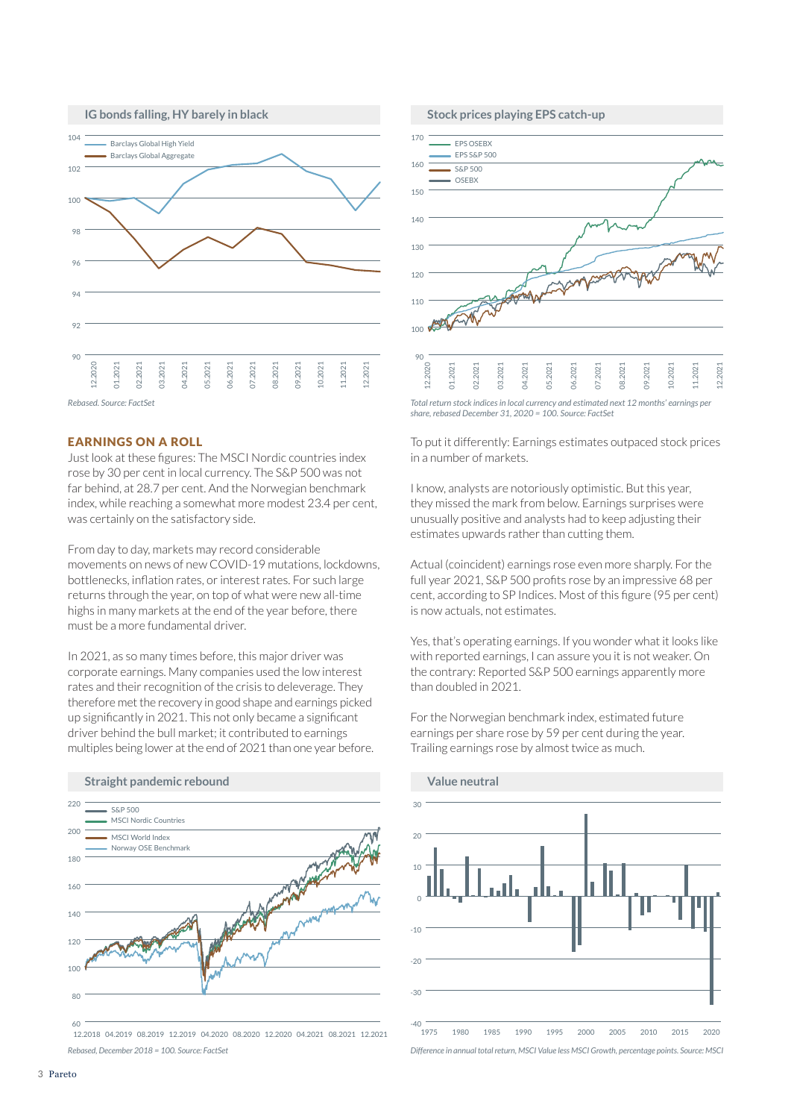

#### EARNINGS ON A ROLL

Just look at these figures: The MSCI Nordic countries index rose by 30 per cent in local currency. The S&P 500 was not far behind, at 28.7 per cent. And the Norwegian benchmark index, while reaching a somewhat more modest 23.4 per cent, was certainly on the satisfactory side.

From day to day, markets may record considerable movements on news of new COVID-19 mutations, lockdowns, bottlenecks, inflation rates, or interest rates. For such large returns through the year, on top of what were new all-time highs in many markets at the end of the year before, there must be a more fundamental driver.

In 2021, as so many times before, this major driver was corporate earnings. Many companies used the low interest rates and their recognition of the crisis to deleverage. They therefore met the recovery in good shape and earnings picked up significantly in 2021. This not only became a significant driver behind the bull market; it contributed to earnings multiples being lower at the end of 2021 than one year before.





*Total return stock indices in local currency and estimated next 12 months' earnings per share, rebased December 31, 2020 = 100. Source: FactSet*

To put it differently: Earnings estimates outpaced stock prices in a number of markets.

I know, analysts are notoriously optimistic. But this year, they missed the mark from below. Earnings surprises were unusually positive and analysts had to keep adjusting their estimates upwards rather than cutting them.

Actual (coincident) earnings rose even more sharply. For the full year 2021, S&P 500 profits rose by an impressive 68 per cent, according to SP Indices. Most of this figure (95 per cent) is now actuals, not estimates.

Yes, that's operating earnings. If you wonder what it looks like with reported earnings, I can assure you it is not weaker. On the contrary: Reported S&P 500 earnings apparently more than doubled in 2021.

For the Norwegian benchmark index, estimated future earnings per share rose by 59 per cent during the year. Trailing earnings rose by almost twice as much.

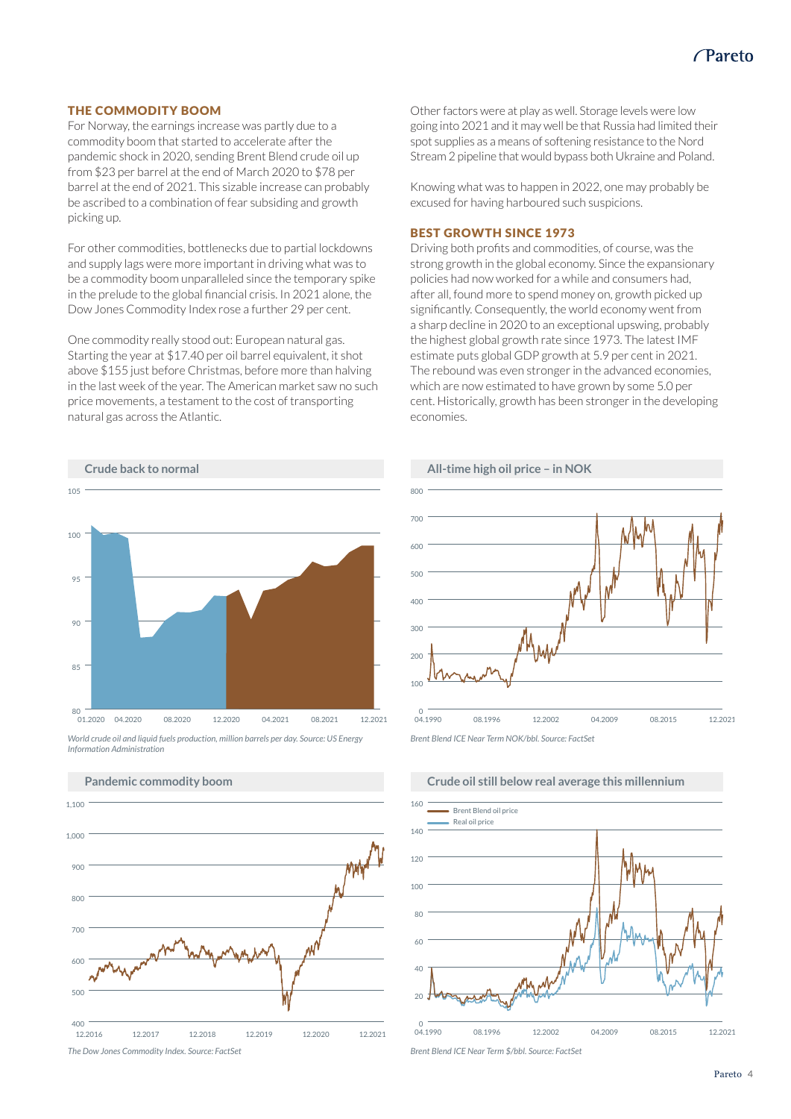#### THE COMMODITY BOOM

For Norway, the earnings increase was partly due to a commodity boom that started to accelerate after the pandemic shock in 2020, sending Brent Blend crude oil up from \$23 per barrel at the end of March 2020 to \$78 per barrel at the end of 2021. This sizable increase can probably be ascribed to a combination of fear subsiding and growth picking up.

For other commodities, bottlenecks due to partial lockdowns and supply lags were more important in driving what was to be a commodity boom unparalleled since the temporary spike in the prelude to the global financial crisis. In 2021 alone, the Dow Jones Commodity Index rose a further 29 per cent.

One commodity really stood out: European natural gas. Starting the year at \$17.40 per oil barrel equivalent, it shot above \$155 just before Christmas, before more than halving in the last week of the year. The American market saw no such price movements, a testament to the cost of transporting natural gas across the Atlantic.

Other factors were at play as well. Storage levels were low going into 2021 and it may well be that Russia had limited their spot supplies as a means of softening resistance to the Nord Stream 2 pipeline that would bypass both Ukraine and Poland.

Knowing what was to happen in 2022, one may probably be excused for having harboured such suspicions.

#### BEST GROWTH SINCE 1973

Driving both profits and commodities, of course, was the strong growth in the global economy. Since the expansionary policies had now worked for a while and consumers had, after all, found more to spend money on, growth picked up significantly. Consequently, the world economy went from a sharp decline in 2020 to an exceptional upswing, probably the highest global growth rate since 1973. The latest IMF estimate puts global GDP growth at 5.9 per cent in 2021. The rebound was even stronger in the advanced economies, which are now estimated to have grown by some 5.0 per cent. Historically, growth has been stronger in the developing economies.



*World crude oil and liquid fuels production, million barrels per day. Source: US Energy Information Administration* 







## **Crude oil still below real average this millennium**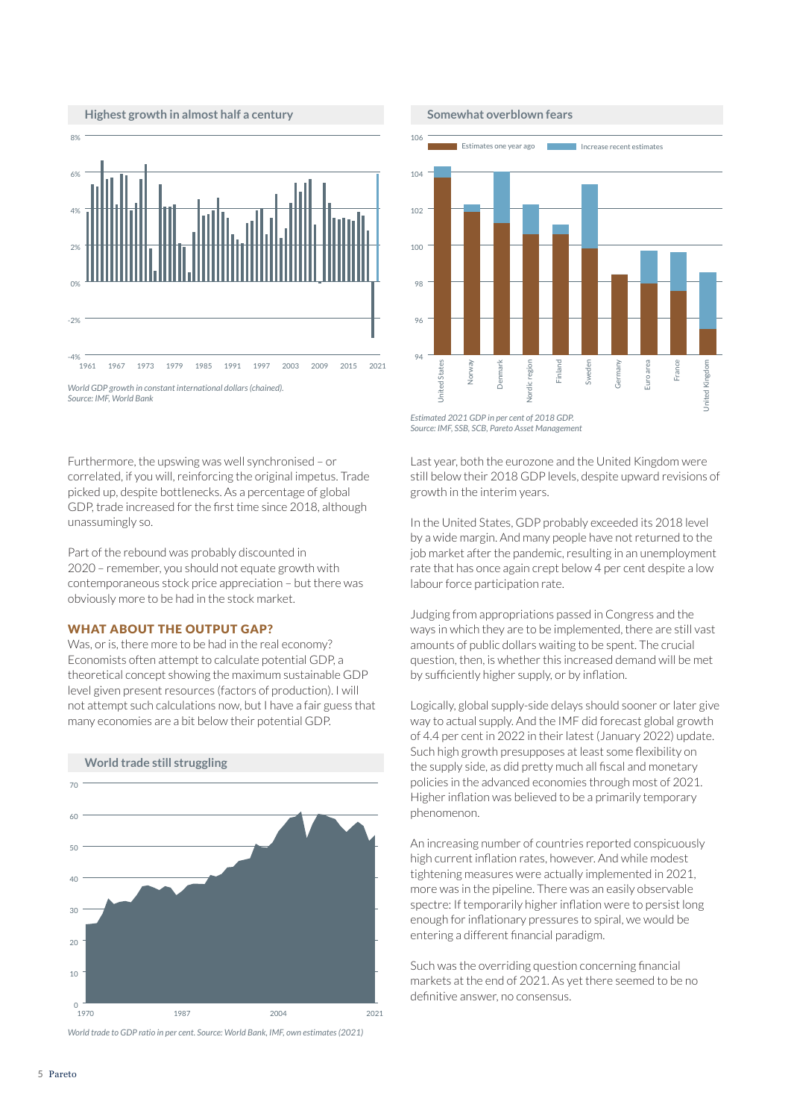

**Highest growth in almost half a century**



Furthermore, the upswing was well synchronised – or correlated, if you will, reinforcing the original impetus. Trade picked up, despite bottlenecks. As a percentage of global GDP, trade increased for the first time since 2018, although unassumingly so.

Part of the rebound was probably discounted in 2020 – remember, you should not equate growth with contemporaneous stock price appreciation – but there was obviously more to be had in the stock market.

#### WHAT ABOUT THE OUTPUT GAP?

Was, or is, there more to be had in the real economy? Economists often attempt to calculate potential GDP, a theoretical concept showing the maximum sustainable GDP level given present resources (factors of production). I will not attempt such calculations now, but I have a fair guess that many economies are a bit below their potential GDP.



*World trade to GDP ratio in per cent. Source: World Bank, IMF, own estimates (2021)*

**Somewhat overblown fears**



*Source: IMF, SSB, SCB, Pareto Asset Management* 

Last year, both the eurozone and the United Kingdom were still below their 2018 GDP levels, despite upward revisions of growth in the interim years.

In the United States, GDP probably exceeded its 2018 level by a wide margin. And many people have not returned to the job market after the pandemic, resulting in an unemployment rate that has once again crept below 4 per cent despite a low labour force participation rate.

Judging from appropriations passed in Congress and the ways in which they are to be implemented, there are still vast amounts of public dollars waiting to be spent. The crucial question, then, is whether this increased demand will be met by sufficiently higher supply, or by inflation.

Logically, global supply-side delays should sooner or later give way to actual supply. And the IMF did forecast global growth of 4.4 per cent in 2022 in their latest (January 2022) update. Such high growth presupposes at least some flexibility on the supply side, as did pretty much all fiscal and monetary policies in the advanced economies through most of 2021. Higher inflation was believed to be a primarily temporary phenomenon.

An increasing number of countries reported conspicuously high current inflation rates, however. And while modest tightening measures were actually implemented in 2021, more was in the pipeline. There was an easily observable spectre: If temporarily higher inflation were to persist long enough for inflationary pressures to spiral, we would be entering a different financial paradigm.

Such was the overriding question concerning financial markets at the end of 2021. As yet there seemed to be no definitive answer, no consensus.